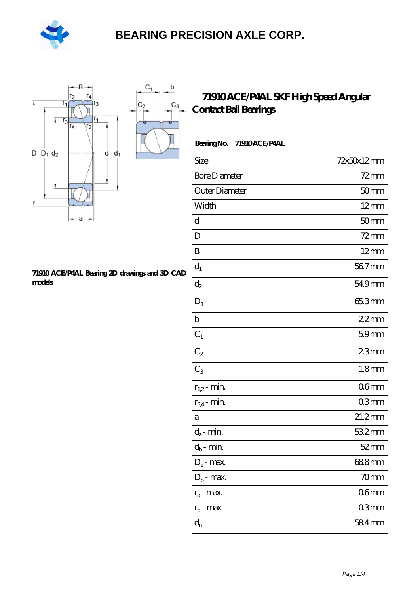

 $\mathbf b$ 

 $C_3$ 



#### **[71910 ACE/P4AL Bearing 2D drawings and 3D CAD](https://m.hilalanaokulu.com/pic-660645.html) [models](https://m.hilalanaokulu.com/pic-660645.html)**

#### **[71910 ACE/P4AL SKF High Speed Angular](https://m.hilalanaokulu.com/skf-bearings/71910-ace-p4al.html) [Contact Ball Bearings](https://m.hilalanaokulu.com/skf-bearings/71910-ace-p4al.html)**

| <b>BearingNo.</b> | 71910ACE/P4AL |
|-------------------|---------------|
|-------------------|---------------|

| Size                 | 72x50x12mm        |
|----------------------|-------------------|
| <b>Bore Diameter</b> | $72$ mm           |
| Outer Diameter       | 50 <sub>mm</sub>  |
| Width                | $12 \text{mm}$    |
| d                    | 50mm              |
| D                    | $72$ mm           |
| $\boldsymbol{B}$     | $12 \text{mm}$    |
| $d_1$                | 56.7mm            |
| $\mathrm{d}_2$       | 549mm             |
| $D_1$                | 65.3mm            |
| $\mathbf b$          | $22$ mm           |
| $C_1$                | 59mm              |
| $\mathrm{C}_2$       | 23mm              |
| $C_3$                | 1.8 <sub>mm</sub> |
| $r_{1,2}$ - min.     | 06mm              |
| $r_{34}$ - min.      | 03mm              |
| a                    | $21.2$ mm         |
| $d_a$ - min.         | 532mm             |
| $d_b$ - $\min$       | $52$ mm           |
| $D_a$ - max.         | 688mm             |
| $D_b$ - max.         | 70mm              |
| $r_a$ - max.         | 06 <sub>mm</sub>  |
| $r_{b}$ - max.       | 03mm              |
| $d_{n}$              | 584mm             |
|                      |                   |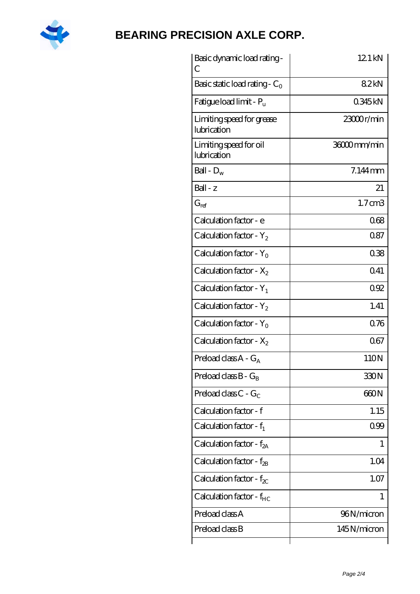

| Basic dynamic load rating -<br>С         | 12.1 kN            |
|------------------------------------------|--------------------|
| Basic static load rating - $C_0$         | 82kN               |
| Fatigue load limit - P <sub>u</sub>      | 0345kN             |
| Limiting speed for grease<br>lubrication | 23000r/min         |
| Limiting speed for oil<br>lubrication    | 36000mm/min        |
| Ball - $D_w$                             | $7.144$ mm         |
| $Ball - z$                               | 21                 |
| $G_{\rm ref}$                            | $1.7 \text{ cm}$ 3 |
| Calculation factor - e                   | 068                |
| Calculation factor - $Y_2$               | 0.87               |
| Calculation factor - $Y_0$               | 038                |
| Calculation factor - $X_2$               | 041                |
| Calculation factor - $Y_1$               | 092                |
| Calculation factor - $Y_2$               | 1.41               |
| Calculation factor - $Y_0$               | 0.76               |
| Calculation factor - $X_2$               | 067                |
| Preload class $A - G_A$                  | 110N               |
| Preload class $B - G_B$                  | 330N               |
| Preload class $C - G_C$                  | 660N               |
| Calculation factor - f                   | 1.15               |
| Calculation factor - $f_1$               | 099                |
| Calculation factor - $f_{2A}$            | 1                  |
| Calculation factor - $f_{\rm 2B}$        | 1.04               |
| Calculation factor - $f_{\chi}$          | 1.07               |
| Calculation factor - $f_{HC}$            | 1                  |
| Preload class A                          | 96N/micron         |
| Preload class B                          | 145N/micron        |
|                                          |                    |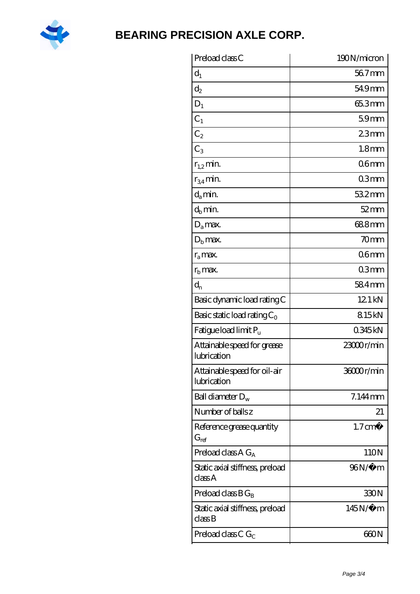

| Preload class C                                               | 190N/micron        |
|---------------------------------------------------------------|--------------------|
| $d_1$                                                         | 567mm              |
| $\mathrm{d}_2$                                                | 54.9mm             |
| $D_1$                                                         | 65.3mm             |
| $C_1$                                                         | 59mm               |
| $C_2$                                                         | 23mm               |
| $C_3$                                                         | 1.8 <sub>mm</sub>  |
| $r_{1,2}$ min.                                                | 06mm               |
| $r_{34}$ min.                                                 | 03mm               |
| $d_a$ min.                                                    | $532$ mm           |
| $d_h$ min.                                                    | $52 \text{mm}$     |
| $D_a$ max.                                                    | 688mm              |
| $Db$ max.                                                     | 70mm               |
| $r_a$ max.                                                    | 06 <sub>mm</sub>   |
| $r_{\rm b}$ max.                                              | 03mm               |
| $d_{n}$                                                       | $584$ mm           |
| Basic dynamic load rating C                                   | 12.1 kN            |
| Basic static load rating $C_0$                                | 815kN              |
| Fatigue load limit Pu                                         | 0345kN             |
| Attainable speed for grease<br>lubrication                    | 23000r/min         |
| Attainable speed for oil-air<br>lubrication                   | 36000r/min         |
| Ball diameter $D_w$                                           | $7.144$ mm         |
| Number of balls z                                             | 21                 |
| Reference grease quantity<br>$G_{ref}$                        | $1.7 \text{ cm}^3$ |
| Preload class A $G_A$                                         | 110N               |
| Static axial stiffness, preload<br>classA                     | 96N/μ m            |
| Preload class $BG_B$                                          | 330N               |
| Static axial stiffness, preload<br>$\mathrm{class}\mathrm{B}$ | $145N/\mu$ m       |
| Preload class C $G_C$                                         | 660N               |
|                                                               |                    |